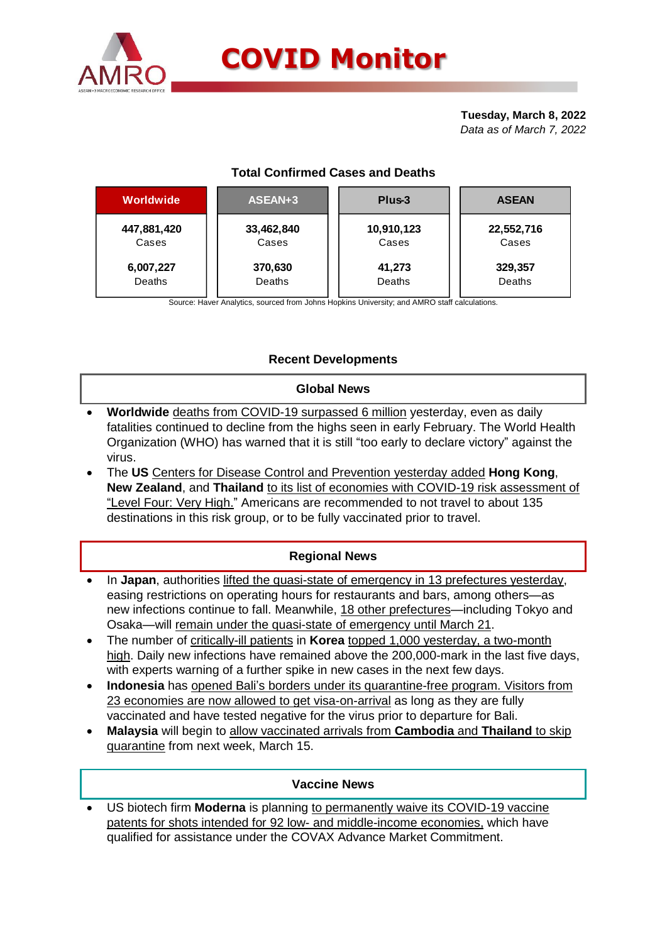

**Tuesday, March 8, 2022** *Data as of March 7, 2022*

# **Total Confirmed Cases and Deaths**

| <b>Worldwide</b> | ASEAN+3    | Plus-3     | <b>ASEAN</b> |  |  |
|------------------|------------|------------|--------------|--|--|
| 447,881,420      | 33,462,840 | 10,910,123 | 22,552,716   |  |  |
| Cases            | Cases      | Cases      | Cases        |  |  |
| 6,007,227        | 370,630    | 41,273     | 329,357      |  |  |
| <b>Deaths</b>    | Deaths     | Deaths     | Deaths       |  |  |

Source: Haver Analytics, sourced from Johns Hopkins University; and AMRO staff calculations.

## **Recent Developments**

### **Global News**

- **Worldwide** deaths from COVID-19 surpassed 6 million yesterday, even as daily fatalities continued to decline from the highs seen in early February. The World Health Organization (WHO) has warned that it is still "too early to declare victory" against the virus.
- The **US** Centers for Disease Control and Prevention yesterday added **Hong Kong**, **New Zealand**, and **Thailand** to its list of economies with COVID-19 risk assessment of "Level Four: Very High." Americans are recommended to not travel to about 135 destinations in this risk group, or to be fully vaccinated prior to travel.

## **Regional News**

- In Japan, authorities lifted the quasi-state of emergency in 13 prefectures yesterday, easing restrictions on operating hours for restaurants and bars, among others—as new infections continue to fall. Meanwhile, 18 other prefectures—including Tokyo and Osaka—will remain under the quasi-state of emergency until March 21.
- The number of critically-ill patients in **Korea** topped 1,000 yesterday, a two-month high. Daily new infections have remained above the 200,000-mark in the last five days, with experts warning of a further spike in new cases in the next few days.
- **Indonesia** has opened Bali's borders under its quarantine-free program. Visitors from 23 economies are now allowed to get visa-on-arrival as long as they are fully vaccinated and have tested negative for the virus prior to departure for Bali.
- **Malaysia** will begin to allow vaccinated arrivals from **Cambodia** and **Thailand** to skip quarantine from next week, March 15.

### **Vaccine News**

 US biotech firm **Moderna** is planning to permanently waive its COVID-19 vaccine patents for shots intended for 92 low- and middle-income economies, which have qualified for assistance under the COVAX Advance Market Commitment.